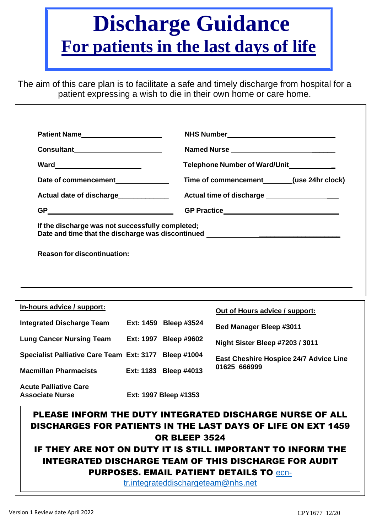# **Discharge Guidance For patients in the last days of life**

The aim of this care plan is to facilitate a safe and timely discharge from hospital for a patient expressing a wish to die in their own home or care home.

| Patient Name______________________                     |  |                       |                                                                                                                                                                               |  |  |  |
|--------------------------------------------------------|--|-----------------------|-------------------------------------------------------------------------------------------------------------------------------------------------------------------------------|--|--|--|
| Consultant______________________                       |  |                       |                                                                                                                                                                               |  |  |  |
|                                                        |  |                       | Telephone Number of Ward/Unit____________                                                                                                                                     |  |  |  |
| Date of commencement_____________                      |  |                       | Time of commencement (use 24hr clock)                                                                                                                                         |  |  |  |
| Actual date of discharge____________                   |  |                       | Actual time of discharge __________________                                                                                                                                   |  |  |  |
| GP __________________________                          |  |                       |                                                                                                                                                                               |  |  |  |
| If the discharge was not successfully completed;       |  |                       | Date and time that the discharge was discontinued ______________________________                                                                                              |  |  |  |
| <b>Reason for discontinuation:</b>                     |  |                       |                                                                                                                                                                               |  |  |  |
| In-hours advice / support:                             |  |                       | ,我们也不会有什么。""我们的人,我们也不会有什么?""我们的人,我们也不会有什么?""我们的人,我们也不会有什么?""我们的人,我们也不会有什么?""我们的人<br>Out of Hours advice / support:                                                            |  |  |  |
| <b>Integrated Discharge Team</b>                       |  | Ext: 1459 Bleep #3524 | <b>Bed Manager Bleep #3011</b>                                                                                                                                                |  |  |  |
| Lung Cancer Nursing Team Ext: 1997 Bleep #9602         |  |                       | Night Sister Bleep #7203 / 3011                                                                                                                                               |  |  |  |
| Specialist Palliative Care Team Ext: 3177 Bleep #1004  |  |                       | East Cheshire Hospice 24/7 Advice Line                                                                                                                                        |  |  |  |
| <b>Macmillan Pharmacists</b>                           |  | Ext: 1183 Bleep #4013 | 01625 666999                                                                                                                                                                  |  |  |  |
| <b>Acute Palliative Care</b><br><b>Associate Nurse</b> |  | Ext: 1997 Bleep #1353 |                                                                                                                                                                               |  |  |  |
|                                                        |  |                       | PLEASE INFORM THE DUTY INTEGRATED DISCHARGE NURSE OF ALL<br><b>DISCHARGES FOR PATIENTS IN THE LAST DAYS OF LIFE ON EXT 1459</b>                                               |  |  |  |
|                                                        |  | <b>OR BLEEP 3524</b>  | IF THEY ARE NOT ON DUTY IT IS STILL IMPORTANT TO INFORM THE<br><b>INTEGRATED DISCHARGE TEAM OF THIS DISCHARGE FOR AUDIT</b><br><b>PURPOSES. EMAIL PATIENT DETAILS TO ecn-</b> |  |  |  |

[tr.integrateddischargeteam@nhs.net](mailto:ecn-tr.integrateddischargeteam@nhs.net)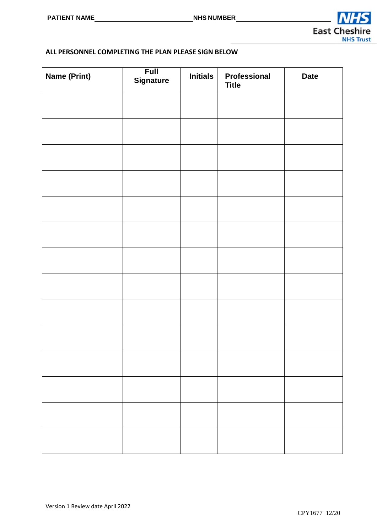

#### **ALL PERSONNEL COMPLETING THE PLAN PLEASE SIGN BELOW**

| <b>Name (Print)</b> | <b>Full</b><br><b>Signature</b> | <b>Initials</b> | Professional<br><b>Title</b> | <b>Date</b> |
|---------------------|---------------------------------|-----------------|------------------------------|-------------|
|                     |                                 |                 |                              |             |
|                     |                                 |                 |                              |             |
|                     |                                 |                 |                              |             |
|                     |                                 |                 |                              |             |
|                     |                                 |                 |                              |             |
|                     |                                 |                 |                              |             |
|                     |                                 |                 |                              |             |
|                     |                                 |                 |                              |             |
|                     |                                 |                 |                              |             |
|                     |                                 |                 |                              |             |
|                     |                                 |                 |                              |             |
|                     |                                 |                 |                              |             |
|                     |                                 |                 |                              |             |
|                     |                                 |                 |                              |             |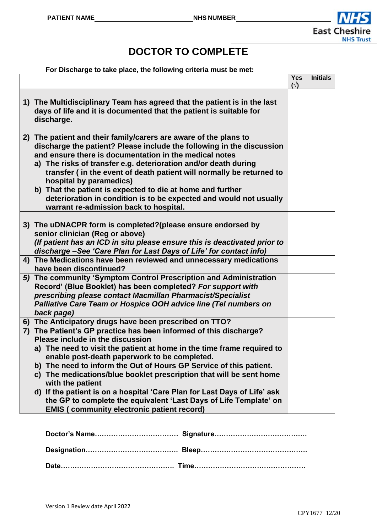

## **DOCTOR TO COMPLETE**

**For Discharge to take place, the following criteria must be met:**

|                                                                                                                                                                                                                                                                                                                                                                                                                                                                                                                                                         | <b>Yes</b><br>$(\sqrt{2})$ | <b>Initials</b> |
|---------------------------------------------------------------------------------------------------------------------------------------------------------------------------------------------------------------------------------------------------------------------------------------------------------------------------------------------------------------------------------------------------------------------------------------------------------------------------------------------------------------------------------------------------------|----------------------------|-----------------|
| 1) The Multidisciplinary Team has agreed that the patient is in the last<br>days of life and it is documented that the patient is suitable for<br>discharge.                                                                                                                                                                                                                                                                                                                                                                                            |                            |                 |
| 2) The patient and their family/carers are aware of the plans to<br>discharge the patient? Please include the following in the discussion<br>and ensure there is documentation in the medical notes<br>a) The risks of transfer e.g. deterioration and/or death during<br>transfer (in the event of death patient will normally be returned to<br>hospital by paramedics)<br>b) That the patient is expected to die at home and further<br>deterioration in condition is to be expected and would not usually<br>warrant re-admission back to hospital. |                            |                 |
| 3) The uDNACPR form is completed?(please ensure endorsed by<br>senior clinician (Reg or above)<br>(If patient has an ICD in situ please ensure this is deactivated prior to<br>discharge-See 'Care Plan for Last Days of Life' for contact info)                                                                                                                                                                                                                                                                                                        |                            |                 |
| 4) The Medications have been reviewed and unnecessary medications<br>have been discontinued?                                                                                                                                                                                                                                                                                                                                                                                                                                                            |                            |                 |
| 5) The community 'Symptom Control Prescription and Administration<br>Record' (Blue Booklet) has been completed? For support with<br>prescribing please contact Macmillan Pharmacist/Specialist<br>Palliative Care Team or Hospice OOH advice line (Tel numbers on<br>back page)                                                                                                                                                                                                                                                                         |                            |                 |
| 6) The Anticipatory drugs have been prescribed on TTO?                                                                                                                                                                                                                                                                                                                                                                                                                                                                                                  |                            |                 |
| 7) The Patient's GP practice has been informed of this discharge?<br>Please include in the discussion<br>a) The need to visit the patient at home in the time frame required to<br>enable post-death paperwork to be completed.<br>b) The need to inform the Out of Hours GP Service of this patient.<br>c) The medications/blue booklet prescription that will be sent home                                                                                                                                                                            |                            |                 |
| with the patient<br>d) If the patient is on a hospital 'Care Plan for Last Days of Life' ask<br>the GP to complete the equivalent 'Last Days of Life Template' on<br><b>EMIS (community electronic patient record)</b>                                                                                                                                                                                                                                                                                                                                  |                            |                 |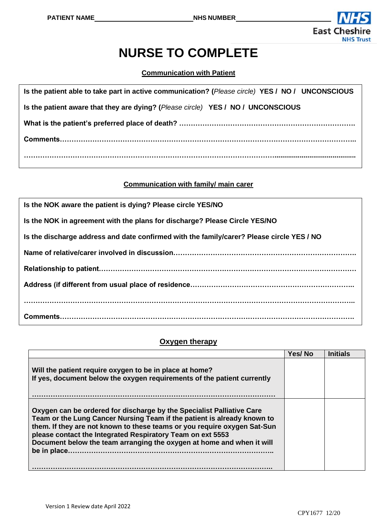

## **NURSE TO COMPLETE**

**Communication with Patient**

| Is the patient able to take part in active communication? (Please circle) YES / NO / UNCONSCIOUS |
|--------------------------------------------------------------------------------------------------|
| Is the patient aware that they are dying? (Please circle) YES / NO / UNCONSCIOUS                 |
|                                                                                                  |
|                                                                                                  |
|                                                                                                  |

#### **Communication with family/ main carer**

| Is the NOK aware the patient is dying? Please circle YES/NO                               |
|-------------------------------------------------------------------------------------------|
| Is the NOK in agreement with the plans for discharge? Please Circle YES/NO                |
| Is the discharge address and date confirmed with the family/carer? Please circle YES / NO |
|                                                                                           |
|                                                                                           |
|                                                                                           |
|                                                                                           |
|                                                                                           |

#### **Oxygen therapy**

|                                                                                                                                                                                                                                                                                                                                                                                    | Yes/No | Initials |
|------------------------------------------------------------------------------------------------------------------------------------------------------------------------------------------------------------------------------------------------------------------------------------------------------------------------------------------------------------------------------------|--------|----------|
| Will the patient require oxygen to be in place at home?<br>If yes, document below the oxygen requirements of the patient currently                                                                                                                                                                                                                                                 |        |          |
| Oxygen can be ordered for discharge by the Specialist Palliative Care<br>Team or the Lung Cancer Nursing Team if the patient is already known to<br>them. If they are not known to these teams or you require oxygen Sat-Sun<br>please contact the Integrated Respiratory Team on ext 5553<br>Document below the team arranging the oxygen at home and when it will<br>be in place |        |          |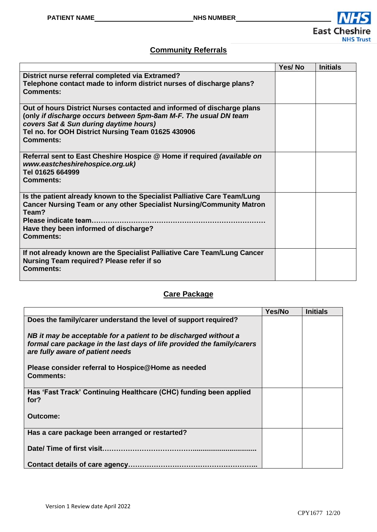

#### **Community Referrals**

|                                                                                                                                                                                                                                                                | Yes/No | <b>Initials</b> |
|----------------------------------------------------------------------------------------------------------------------------------------------------------------------------------------------------------------------------------------------------------------|--------|-----------------|
| District nurse referral completed via Extramed?<br>Telephone contact made to inform district nurses of discharge plans?<br><b>Comments:</b>                                                                                                                    |        |                 |
| Out of hours District Nurses contacted and informed of discharge plans<br>(only if discharge occurs between 5pm-8am M-F. The usual DN team<br>covers Sat & Sun during daytime hours)<br>Tel no. for OOH District Nursing Team 01625 430906<br><b>Comments:</b> |        |                 |
| Referral sent to East Cheshire Hospice @ Home if required (available on<br>www.eastcheshirehospice.org.uk)<br>Tel 01625 664999<br><b>Comments:</b>                                                                                                             |        |                 |
| Is the patient already known to the Specialist Palliative Care Team/Lung<br><b>Cancer Nursing Team or any other Specialist Nursing/Community Matron</b><br>Team?<br>Have they been informed of discharge?<br><b>Comments:</b>                                  |        |                 |
| If not already known are the Specialist Palliative Care Team/Lung Cancer<br>Nursing Team required? Please refer if so<br><b>Comments:</b>                                                                                                                      |        |                 |

#### **Care Package**

|                                                                                                                                                                                 | Yes/No | <b>Initials</b> |
|---------------------------------------------------------------------------------------------------------------------------------------------------------------------------------|--------|-----------------|
| Does the family/carer understand the level of support required?                                                                                                                 |        |                 |
| NB it may be acceptable for a patient to be discharged without a<br>formal care package in the last days of life provided the family/carers<br>are fully aware of patient needs |        |                 |
| Please consider referral to Hospice@Home as needed<br><b>Comments:</b>                                                                                                          |        |                 |
| Has 'Fast Track' Continuing Healthcare (CHC) funding been applied<br>for?                                                                                                       |        |                 |
| Outcome:                                                                                                                                                                        |        |                 |
| Has a care package been arranged or restarted?                                                                                                                                  |        |                 |
|                                                                                                                                                                                 |        |                 |
|                                                                                                                                                                                 |        |                 |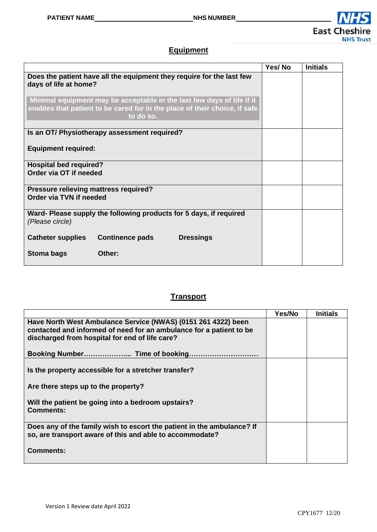

#### **Equipment**

|                                                                                                                                                                   | Yes/No | <b>Initials</b> |
|-------------------------------------------------------------------------------------------------------------------------------------------------------------------|--------|-----------------|
| Does the patient have all the equipment they require for the last few<br>days of life at home?                                                                    |        |                 |
| Minimal equipment may be acceptable in the last few days of life if it<br>enables that patient to be cared for in the place of their choice, if safe<br>to do so. |        |                 |
| Is an OT/ Physiotherapy assessment required?                                                                                                                      |        |                 |
| <b>Equipment required:</b>                                                                                                                                        |        |                 |
| <b>Hospital bed required?</b><br>Order via OT if needed                                                                                                           |        |                 |
| Pressure relieving mattress required?<br>Order via TVN if needed                                                                                                  |        |                 |
| Ward- Please supply the following products for 5 days, if required<br>(Please circle)                                                                             |        |                 |
| <b>Continence pads</b><br><b>Dressings</b><br><b>Catheter supplies</b>                                                                                            |        |                 |
| Other:<br>Stoma bags                                                                                                                                              |        |                 |

#### **Transport**

|                                                                        | Yes/No | <b>Initials</b> |
|------------------------------------------------------------------------|--------|-----------------|
| Have North West Ambulance Service (NWAS) (0151 261 4322) been          |        |                 |
| contacted and informed of need for an ambulance for a patient to be    |        |                 |
| discharged from hospital for end of life care?                         |        |                 |
|                                                                        |        |                 |
|                                                                        |        |                 |
|                                                                        |        |                 |
| Is the property accessible for a stretcher transfer?                   |        |                 |
|                                                                        |        |                 |
| Are there steps up to the property?                                    |        |                 |
| Will the patient be going into a bedroom upstairs?                     |        |                 |
| <b>Comments:</b>                                                       |        |                 |
|                                                                        |        |                 |
| Does any of the family wish to escort the patient in the ambulance? If |        |                 |
| so, are transport aware of this and able to accommodate?               |        |                 |
|                                                                        |        |                 |
| Comments:                                                              |        |                 |
|                                                                        |        |                 |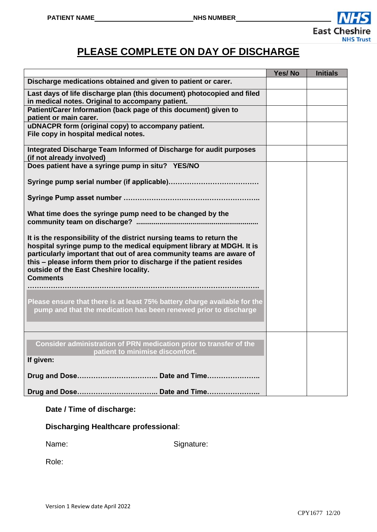

## **PLEASE COMPLETE ON DAY OF DISCHARGE**

|                                                                                                                                                                                                                                                                                                                                                           | Yes/No | <b>Initials</b> |
|-----------------------------------------------------------------------------------------------------------------------------------------------------------------------------------------------------------------------------------------------------------------------------------------------------------------------------------------------------------|--------|-----------------|
| Discharge medications obtained and given to patient or carer.                                                                                                                                                                                                                                                                                             |        |                 |
| Last days of life discharge plan (this document) photocopied and filed<br>in medical notes. Original to accompany patient.                                                                                                                                                                                                                                |        |                 |
| Patient/Carer Information (back page of this document) given to<br>patient or main carer.                                                                                                                                                                                                                                                                 |        |                 |
| uDNACPR form (original copy) to accompany patient.<br>File copy in hospital medical notes.                                                                                                                                                                                                                                                                |        |                 |
| Integrated Discharge Team Informed of Discharge for audit purposes<br>(if not already involved)                                                                                                                                                                                                                                                           |        |                 |
| Does patient have a syringe pump in situ? YES/NO                                                                                                                                                                                                                                                                                                          |        |                 |
|                                                                                                                                                                                                                                                                                                                                                           |        |                 |
|                                                                                                                                                                                                                                                                                                                                                           |        |                 |
| What time does the syringe pump need to be changed by the                                                                                                                                                                                                                                                                                                 |        |                 |
| It is the responsibility of the district nursing teams to return the<br>hospital syringe pump to the medical equipment library at MDGH. It is<br>particularly important that out of area community teams are aware of<br>this - please inform them prior to discharge if the patient resides<br>outside of the East Cheshire locality.<br><b>Comments</b> |        |                 |
| Please ensure that there is at least 75% battery charge available for the<br>pump and that the medication has been renewed prior to discharge                                                                                                                                                                                                             |        |                 |
| Consider administration of PRN medication prior to transfer of the<br>patient to minimise discomfort.<br>If given:                                                                                                                                                                                                                                        |        |                 |
|                                                                                                                                                                                                                                                                                                                                                           |        |                 |
|                                                                                                                                                                                                                                                                                                                                                           |        |                 |
|                                                                                                                                                                                                                                                                                                                                                           |        |                 |
|                                                                                                                                                                                                                                                                                                                                                           |        |                 |

#### **Date / Time of discharge:**

**Discharging Healthcare professional**:

Name: Signature:

Role: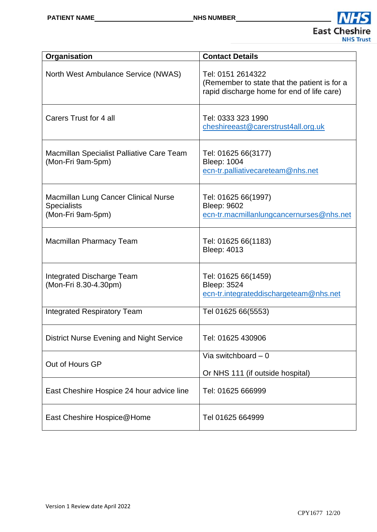

| Organisation                                                                    | <b>Contact Details</b>                                                                                          |
|---------------------------------------------------------------------------------|-----------------------------------------------------------------------------------------------------------------|
| North West Ambulance Service (NWAS)                                             | Tel: 0151 2614322<br>(Remember to state that the patient is for a<br>rapid discharge home for end of life care) |
| Carers Trust for 4 all                                                          | Tel: 0333 323 1990<br>cheshireeast@carerstrust4all.org.uk                                                       |
| Macmillan Specialist Palliative Care Team<br>(Mon-Fri 9am-5pm)                  | Tel: 01625 66(3177)<br><b>Bleep: 1004</b><br>ecn-tr.palliativecareteam@nhs.net                                  |
| Macmillan Lung Cancer Clinical Nurse<br><b>Specialists</b><br>(Mon-Fri 9am-5pm) | Tel: 01625 66(1997)<br><b>Bleep: 9602</b><br>ecn-tr.macmillanlungcancernurses@nhs.net                           |
| Macmillan Pharmacy Team                                                         | Tel: 01625 66(1183)<br><b>Bleep: 4013</b>                                                                       |
| Integrated Discharge Team<br>(Mon-Fri 8.30-4.30pm)                              | Tel: 01625 66(1459)<br><b>Bleep: 3524</b><br>ecn-tr.integrateddischargeteam@nhs.net                             |
| <b>Integrated Respiratory Team</b>                                              | Tel 01625 66(5553)                                                                                              |
| <b>District Nurse Evening and Night Service</b>                                 | Tel: 01625 430906                                                                                               |
| Out of Hours GP                                                                 | Via switchboard $-0$<br>Or NHS 111 (if outside hospital)                                                        |
| East Cheshire Hospice 24 hour advice line                                       | Tel: 01625 666999                                                                                               |
| East Cheshire Hospice@Home                                                      | Tel 01625 664999                                                                                                |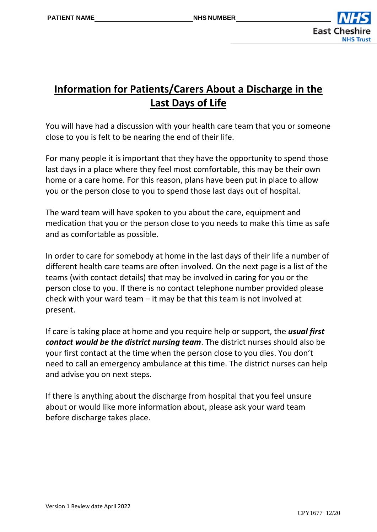

## **Information for Patients/Carers About a Discharge in the Last Days of Life**

You will have had a discussion with your health care team that you or someone close to you is felt to be nearing the end of their life.

For many people it is important that they have the opportunity to spend those last days in a place where they feel most comfortable, this may be their own home or a care home. For this reason, plans have been put in place to allow you or the person close to you to spend those last days out of hospital.

The ward team will have spoken to you about the care, equipment and medication that you or the person close to you needs to make this time as safe and as comfortable as possible.

In order to care for somebody at home in the last days of their life a number of different health care teams are often involved. On the next page is a list of the teams (with contact details) that may be involved in caring for you or the person close to you. If there is no contact telephone number provided please check with your ward team – it may be that this team is not involved at present.

If care is taking place at home and you require help or support, the *usual first contact would be the district nursing team*. The district nurses should also be your first contact at the time when the person close to you dies. You don't need to call an emergency ambulance at this time. The district nurses can help and advise you on next steps.

If there is anything about the discharge from hospital that you feel unsure about or would like more information about, please ask your ward team before discharge takes place.